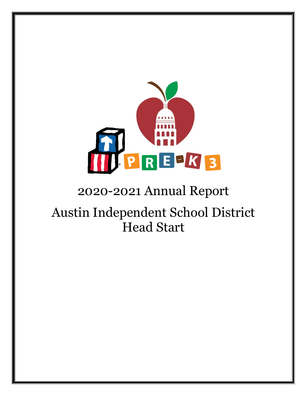

# 2020-2021 Annual Report

# Austin Independent School District Head Start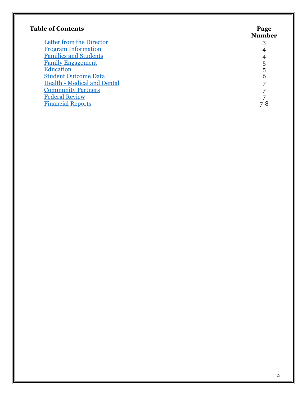| <b>Table of Contents</b>           | Page<br><b>Number</b> |
|------------------------------------|-----------------------|
| Letter from the Director           | 3                     |
| <b>Program Information</b>         |                       |
| <b>Families and Students</b>       |                       |
| <b>Family Engagement</b>           | 5                     |
| <b>Education</b>                   | 5                     |
| <b>Student Outcome Data</b>        | 6                     |
| <b>Health - Medical and Dental</b> | 7                     |
| <b>Community Partners</b>          |                       |
| <b>Federal Review</b>              |                       |
| <b>Financial Reports</b>           | 7-8                   |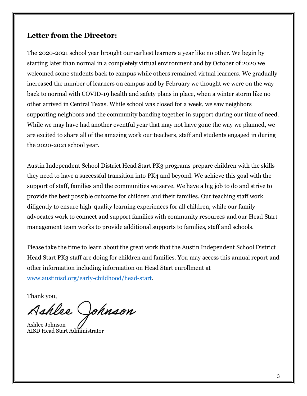### <span id="page-2-0"></span>**Letter from the Director:**

The 2020-2021 school year brought our earliest learners a year like no other. We begin by starting later than normal in a completely virtual environment and by October of 2020 we welcomed some students back to campus while others remained virtual learners. We gradually increased the number of learners on campus and by February we thought we were on the way back to normal with COVID-19 health and safety plans in place, when a winter storm like no other arrived in Central Texas. While school was closed for a week, we saw neighbors supporting neighbors and the community banding together in support during our time of need. While we may have had another eventful year that may not have gone the way we planned, we are excited to share all of the amazing work our teachers, staff and students engaged in during the 2020-2021 school year.

Austin Independent School District Head Start PK3 programs prepare children with the skills they need to have a successful transition into PK4 and beyond. We achieve this goal with the support of staff, families and the communities we serve. We have a big job to do and strive to provide the best possible outcome for children and their families. Our teaching staff work diligently to ensure high-quality learning experiences for all children, while our family advocates work to connect and support families with community resources and our Head Start management team works to provide additional supports to families, staff and schools.

Please take the time to learn about the great work that the Austin Independent School District Head Start PK3 staff are doing for children and families. You may access this annual report and other information including information on Head Start enrollment at [www.austinisd.org/early-childhood/head-start.](https://www.austinisd.org/early-childhood/head-start)

Thank you,

Ashlee Johnson

<span id="page-2-1"></span>Ashlee Johnson AISD Head Start Administrator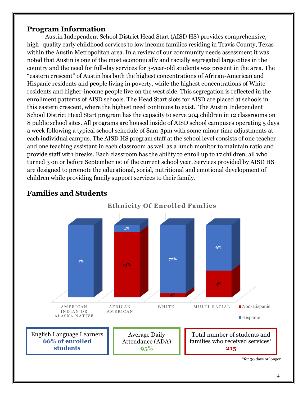#### **Program Information**

Austin Independent School District Head Start (AISD HS) provides comprehensive, high- quality early childhood services to low income families residing in Travis County, Texas within the Austin Metropolitan area. In a review of our community needs assessment it was noted that Austin is one of the most economically and racially segregated large cities in the country and the need for full-day services for 3-year-old students was present in the area. The "eastern crescent" of Austin has both the highest concentrations of African-American and Hispanic residents and people living in poverty, while the highest concentrations of White residents and higher-income people live on the west side. This segregation is reflected in the enrollment patterns of AISD schools. The Head Start slots for AISD are placed at schools in this eastern crescent, where the highest need continues to exist. The Austin Independent School District Head Start program has the capacity to serve 204 children in 12 classrooms on 8 public school sites. All programs are housed inside of AISD school campuses operating 5 days a week following a typical school schedule of 8am-3pm with some minor time adjustments at each individual campus. The AISD HS program staff at the school level consists of one teacher and one teaching assistant in each classroom as well as a lunch monitor to maintain ratio and provide staff with breaks. Each classroom has the ability to enroll up to 17 children, all who turned 3 on or before September 1st of the current school year. Services provided by AISD HS are designed to promote the educational, social, nutritional and emotional development of children while providing family support services to their family.



# <span id="page-3-0"></span>**Families and Students**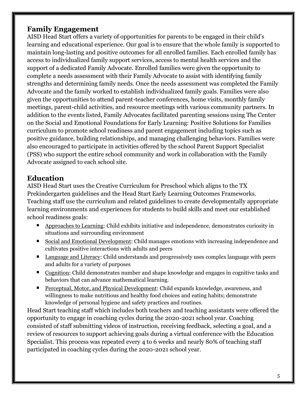### <span id="page-4-0"></span>**Family Engagement**

AISD Head Start offers a variety of opportunities for parents to be engaged in their child's learning and educational experience. Our goal is to ensure that the whole family is supported to maintain long-lasting and positive outcomes for all enrolled families. Each enrolled family has access to individualized family support services, access to mental health services and the support of a dedicated Family Advocate. Enrolled families were given the opportunity to complete a needs assessment with their Family Advocate to assist with identifying family strengths and determining family needs. Once the needs assessment was completed the Family Advocate and the family worked to establish individualized family goals. Families were also given the opportunities to attend parent-teacher conferences, home visits, monthly family meetings, parent-child activities, and resource meetings with various community partners. In addition to the events listed, Family Advocates facilitated parenting sessions using The Center on the Social and Emotional Foundations for Early Learning: Positive Solutions for Families curriculum to promote school readiness and parent engagement including topics such as positive guidance, building relationships, and managing challenging behaviors. Families were also encouraged to participate in activities offered by the school Parent Support Specialist (PSS) who support the entire school community and work in collaboration with the Family Advocate assigned to each school site.

## <span id="page-4-1"></span>**Education**

AISD Head Start uses the Creative Curriculum for Preschool which aligns to the TX Prekindergarten guidelines and the Head Start Early Learning Outcomes Frameworks. Teaching staff use the curriculum and related guidelines to create developmentally appropriate learning environments and experiences for students to build skills and meet our established school readiness goals:

- **Approaches to Learning: Child exhibits initiative and independence, demonstrates curiosity in** situations and surrounding environment
- Social and Emotional Development: Child manages emotions with increasing independence and cultivates positive interactions with adults and peers
- **Language and Literacy: Child understands and progressively uses complex language with peers** and adults for a variety of purposes
- Cognition: Child demonstrates number and shape knowledge and engages in cognitive tasks and behaviors that can advance mathematical learning.
- Perceptual, Motor, and Physical Development: Child expands knowledge, awareness, and willingness to make nutritious and healthy food choices and eating habits; demonstrate knowledge of personal hygiene and safety practices and routines.

<span id="page-4-2"></span>Head Start teaching staff which includes both teachers and teaching assistants were offered the opportunity to engage in coaching cycles during the 2020-2021 school year. Coaching consisted of staff submitting videos of instruction, receiving feedback, selecting a goal, and a review of resources to support achieving goals during a virtual conference with the Education Specialist. This process was repeated every 4 to 6 weeks and nearly 80% of teaching staff participated in coaching cycles during the 2020-2021 school year.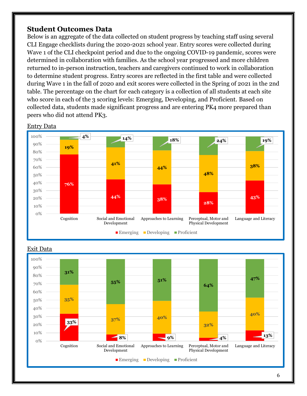#### **Student Outcomes Data**

Below is an aggregate of the data collected on student progress by teaching staff using several CLI Engage checklists during the 2020-2021 school year. Entry scores were collected during Wave 1 of the CLI checkpoint period and due to the ongoing COVID-19 pandemic, scores were determined in collaboration with families. As the school year progressed and more children returned to in-person instruction, teachers and caregivers continued to work in collaboration to determine student progress. Entry scores are reflected in the first table and were collected during Wave 1 in the fall of 2020 and exit scores were collected in the Spring of 2021 in the 2nd table. The percentage on the chart for each category is a collection of all students at each site who score in each of the 3 scoring levels: Emerging, Developing, and Proficient. Based on collected data, students made significant progress and are entering PK4 more prepared than peers who did not attend PK3.



#### Entry Data



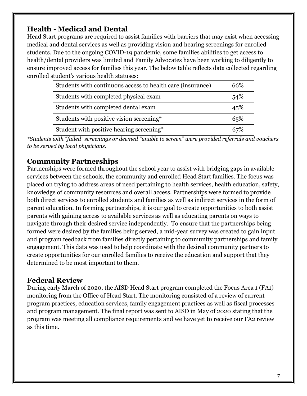# <span id="page-6-0"></span>**Health - Medical and Dental**

Head Start programs are required to assist families with barriers that may exist when accessing medical and dental services as well as providing vision and hearing screenings for enrolled students. Due to the ongoing COVID-19 pandemic, some families abilities to get access to health/dental providers was limited and Family Advocates have been working to diligently to ensure improved access for families this year. The below table reflects data collected regarding enrolled student's various health statuses:

| Students with continuous access to health care (insurance) | 66% |
|------------------------------------------------------------|-----|
| Students with completed physical exam                      | 54% |
| Students with completed dental exam                        | 45% |
| Students with positive vision screening*                   | 65% |
| Student with positive hearing screening*                   |     |

*\*Students with "failed" screenings or deemed "unable to screen" were provided referrals and vouchers to be served by local physicians.* 

# <span id="page-6-1"></span>**Community Partnerships**

Partnerships were formed throughout the school year to assist with bridging gaps in available services between the schools, the community and enrolled Head Start families. The focus was placed on trying to address areas of need pertaining to health services, health education, safety, knowledge of community resources and overall access. Partnerships were formed to provide both direct services to enrolled students and families as well as indirect services in the form of parent education. In forming partnerships, it is our goal to create opportunities to both assist parents with gaining access to available services as well as educating parents on ways to navigate through their desired service independently. To ensure that the partnerships being formed were desired by the families being served, a mid-year survey was created to gain input and program feedback from families directly pertaining to community partnerships and family engagement. This data was used to help coordinate with the desired community partners to create opportunities for our enrolled families to receive the education and support that they determined to be most important to them.

### <span id="page-6-2"></span>**Federal Review**

<span id="page-6-3"></span>During early March of 2020, the AISD Head Start program completed the Focus Area 1 (FA1) monitoring from the Office of Head Start. The monitoring consisted of a review of current program practices, education services, family engagement practices as well as fiscal processes and program management. The final report was sent to AISD in May of 2020 stating that the program was meeting all compliance requirements and we have yet to receive our FA2 review as this time.